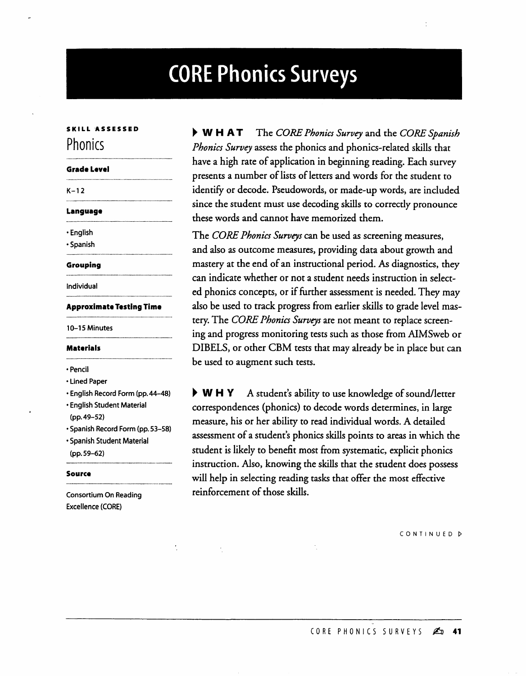# **CORE Phonics Surveys**

### **SKILL ASSESSED Phonics**

## **Grade Level**  $K-12$

#### **Language**

¯ English

¯ Spanish

### **Grouping**

Individual

### **Approximate Testing Time**

10-15 Minutes

### **Materials**

¯ Pencil

- Lined Paper
- ¯ English Record Form (pp.44-48)
- English Student Material (pp.49-52)
- ¯ Spanish Record Form (pp. 53-58)
- ¯ Spanish Student Material
- (pp.59-62)

#### **Source**

Consortium On Reading Excellence (CORE)

b W H A T The *CORE Phonics Survey* and the *CORE Spanish Phonics Survey* assess the phonics and phonics-related skills that have a high rate of application in beginning reading. Each survey presents a number of lists of letters and words for the student to identify or decode. Pseudowords, or made-up words, are included since the student must use decoding skills to correctly pronounce these words and cannot have memorized them.

The *CORE Phonics Surveys can* be used as screening measures, and also as outcome measures, providing data about growth and mastery at the end of an instructional period. As diagnostics, they can indicate whether or not a student needs instruction in selected phonics concepts, or if further assessment is needed. They may also be used to track progress from earlier skills to grade level mastery. The *CORE Phonics Surveys are* not meant to replace screening and progress monitoring tests such as those from AIMSweb or DIBELS, or other CBM tests that may already be in place but can be used to augment such tests.

▶ W H Y A student's ability to use knowledge of sound/letter correspondences (phonics) to decode words determines, in large measure, his or her ability to read individual words. A detailed *assessment* of a student's phonics skills points to areas in which the student is likely to benefit most from systematic, explicit phonics instruction. Also, knowing the *skills* that the student does *possess* will help in selecting reading tasks that offer the most effective reinforcement of those *skills.*

CONTINUED

CORE PHONICS SURVEYS  $\mathbb{Z}^n$  41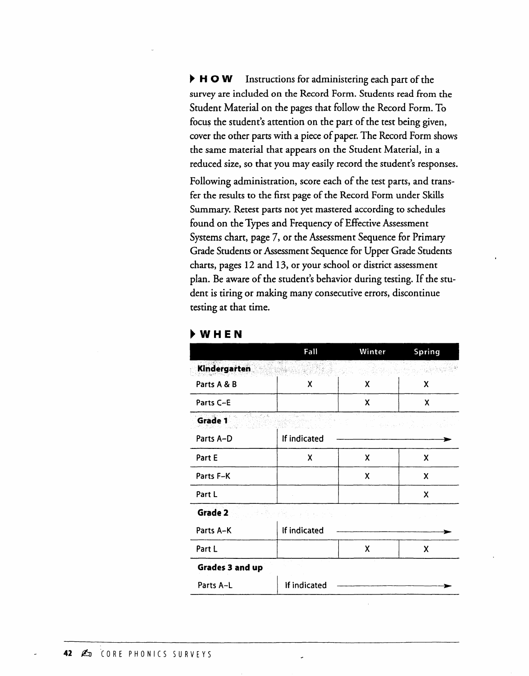▶ **H O W** Instructions for administering each part of the survey are included on the Record Form. Students read from the Student Material on the pages that follow the Record Form. To focus the student's attention on the part of the test being given, cover the other parrs with a piece of paper. The Record Form shows the same material that appears on the Student Material, in a reduced size, so that you may easily record the student's responses.

Following administration, score each of the test parts, and transfer the results to the first page of the Record Form under Skills Summary. Retest parts not yet mastered according to schedules found on the Types and Frequency of Effective Assessment Systems chart, page 7, or the Assessment Sequence for Primary Grade Students or Assessment Sequence for Upper Grade Students charts, pages 12 and 13, or your school or district assessment plan. Be aware of the student's behavior during testing. If the student is tiring or making many consecutive errors, discontinue testing at that time.

|                     | Fall                                                             | Winter | Spring                 |
|---------------------|------------------------------------------------------------------|--------|------------------------|
| <b>Kindergarten</b> |                                                                  |        |                        |
| Parts A & B         | x                                                                | x      | X                      |
| Parts C-E           |                                                                  | X      | X                      |
| Grade 1             | ""形式的。<br>$\gamma^{-1} \gamma_{\rm total}^2 \sim \beta \gamma_0$ |        | book 34 km 이 사이 있는 거래? |
| Parts A-D           | If indicated                                                     |        |                        |
| Part E              | X                                                                | X      | X                      |
| Parts F-K           |                                                                  | X      | X                      |
| Part L              |                                                                  |        | X                      |
| Grade 2             | de Bandel (1976-1976)<br>Albert Constantinopolis                 |        |                        |
| Parts A-K           | If indicated                                                     |        |                        |
| Part L              |                                                                  | X      | X                      |
| Grades 3 and up     |                                                                  |        |                        |
| Parts A-L           | If indicated                                                     |        |                        |
|                     |                                                                  |        |                        |

|  | w<br>w<br>$\sim$ | . .<br>. . |  | u |
|--|------------------|------------|--|---|
|--|------------------|------------|--|---|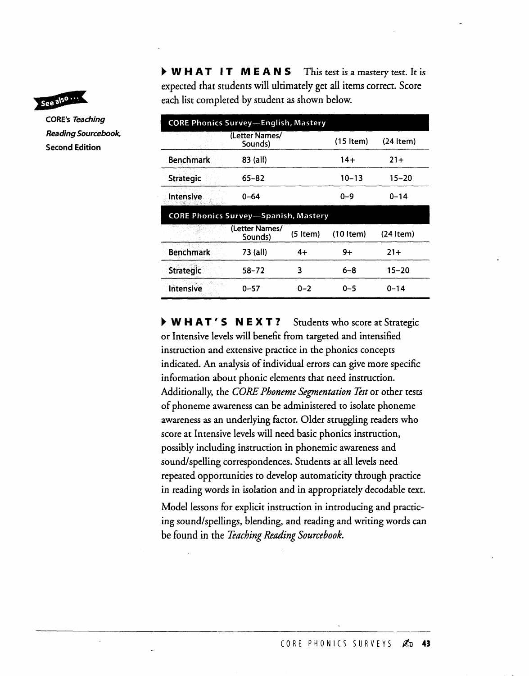

CORE's Teaching Reading Sourcebook, **Second Edition**

 $\triangleright$  WHAT IT MEANS This test is a mastery test. It is expected that students will ultimately get all items correct. Score each list completed by student as shown below.

|                  | <b>CORE Phonics Survey-English, Mastery</b> |            |             |             |  |  |  |
|------------------|---------------------------------------------|------------|-------------|-------------|--|--|--|
|                  | (Letter Names/<br>Sounds)                   |            | (15 Item)   | $(24$ Item) |  |  |  |
| <b>Benchmark</b> | 83 (all)                                    |            | $14+$       | $21+$       |  |  |  |
| <b>Strategic</b> | $65 - 82$                                   |            | $10 - 13$   | 15–20       |  |  |  |
| <b>Intensive</b> | $0 - 64$                                    |            | $0 - 9$     | $0 - 14$    |  |  |  |
|                  | <b>CORE Phonics Survey-Spanish, Mastery</b> |            |             |             |  |  |  |
|                  | (Letter Names/<br>Sounds)                   | $(5$ Item) | $(10$ item) | (24 Item)   |  |  |  |
| <b>Benchmark</b> | 73 (all)                                    | $4+$       | $9+$        | $21+$       |  |  |  |
| <b>Strategic</b> | 58–72                                       | 3          | $6 - 8$     | 15–20       |  |  |  |
| Intensive        | $0 - 57$                                    | $0 - 2$    | $0 - 5$     | $0 - 14$    |  |  |  |

**W H A T' S N E X T ?** Students who score at Strategic or Intensive levels will benefit from targeted and intensified instruction and extensive practice in the phonics concepts indicated. An analysis of individual errors can give more specific information about phonic elements that need instruction. Additionally, the *CORE Phoneme Segmentation Test* or other tests of phoneme awareness can be administered to isolate phoneme awareness as an underlying factor. Older struggling readers who score at Intensive levels will need basic phonics instruction, possibly including instruction in phonemic awareness and sound/spelling correspondences. Students at all levels need repeated opportunities to develop automaticity through practice in reading words in isolation and in appropriately decodable text.

Model lessons for explicit instruction in introducing and practicing sound/spellings, blending, and reading and writing words can be found in the *Teaching Reading Sourcebook.*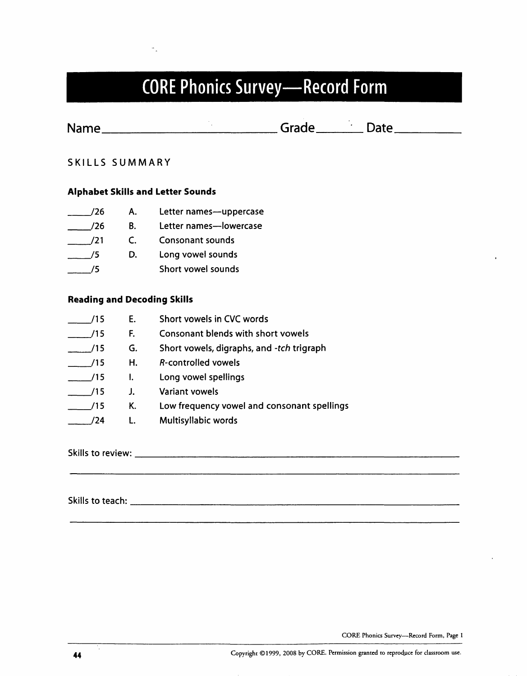

**Name Mame Date Date Date Date Date Date Date Date Date Date Date Date Date Date Date Date Date D** 

SKILLS SUMMARY

### **Alphabet Skills and Letter Sounds**

| 776 | Α. | Letter names-uppercase  |
|-----|----|-------------------------|
| 776 | В. | Letter names-lowercase  |
| 721 | Ċ. | <b>Consonant sounds</b> |
| 75  | D. | Long vowel sounds       |
|     |    | Short vowel sounds      |

### **Reading and Decoding Skill**

| '15 | E. | Short vowels in CVC words                  |
|-----|----|--------------------------------------------|
| ′15 | F. | Consonant blends with short vowels         |
| /15 | G. | Short vowels, digraphs, and -tch trigraph  |
| /15 | Н. | R-controlled vowels                        |
| /15 | Ι. | Long vowel spellings                       |
| ′15 | J. | <b>Variant vowels</b>                      |
| ′15 | К. | Low frequency vowel and consonant spelling |
| 24  |    | Multisyllabic words                        |

Skills to review:

Skills to teach:

CORE Phonics Survey--Record Form, Page 1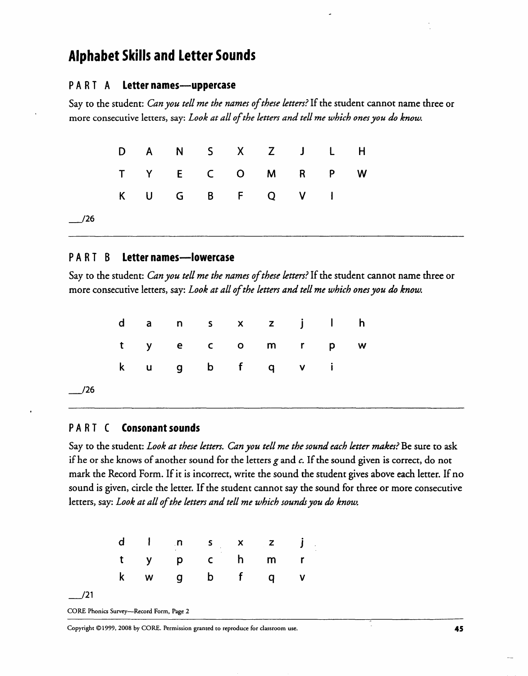### **Alphabet Skills and Letter Sounds**

### **P A R T A Letternames--uppercase**

Say to the student: *Can you tell me the names of these letters?* If the student cannot name three or more consecutive letters, say: *Look at all of the letters and tell me which ones you do know.*

|     |  |  | D A N S X Z J L H |  |   |
|-----|--|--|-------------------|--|---|
|     |  |  | T Y E C O M R P   |  | W |
|     |  |  | K U G B F Q V I   |  |   |
| /26 |  |  |                   |  |   |

### **P A R T B Letter names--lowercase**

Say to the student: *Can you tell me the names of these letters?* If the student cannot name three or more consecutive letters, say: *Look at all of the letters and tell me which ones you do know.*

|  |  |  | dans x z j l h |  |  |
|--|--|--|----------------|--|--|
|  |  |  | tye commpw     |  |  |
|  |  |  | kug bfqvi      |  |  |
|  |  |  |                |  |  |

### **PART C** Consonant sounds

 $/26$ 

Say to the student: *Look at these letters. Can you tell me the sound each letter makes?* Be sure to ask if he or she knows of another sound for the letters  $g$  and  $c$ . If the sound given is correct, do not mark the Record Form. If it is incorrect, write the sound the student gives above each letter. If no sound is given, circle the letter. If the student cannot say the sound for three or more consecutive letters, say: *Look at all of the letters and tell me which sounds you do know.*

|     |  |  | d I n s x z j |  |
|-----|--|--|---------------|--|
|     |  |  | typchmr       |  |
|     |  |  | w g b f q v   |  |
| /21 |  |  |               |  |

CORE Phonics Survey--Record Form, Page 2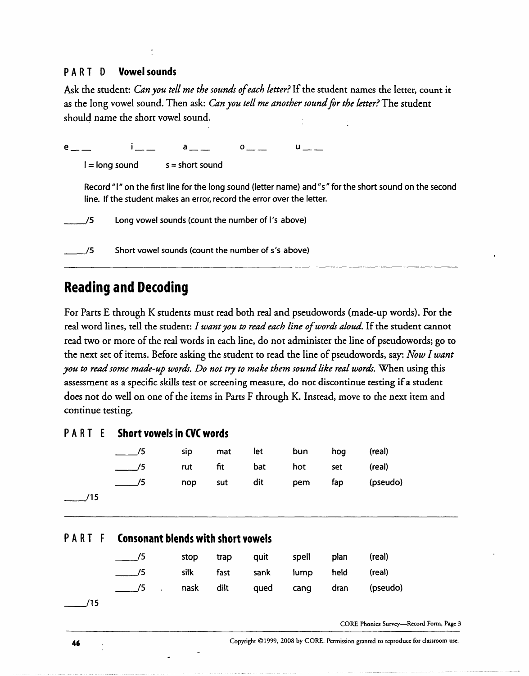### **PART D Vowel sounds**

Ask the student: *Can you tell me the sounds of each letter?* If the student names the letter, count it as the long vowel sound. Then ask: *Can you tell me another sound for the letter?* The student should name the short vowel sound.

|                | $\mathbf{a}$ and $\mathbf{a}$                                                                                                                                                     | $\mathbf{o}$ and $\mathbf{o}$ and $\mathbf{o}$ and $\mathbf{o}$ and $\mathbf{o}$ and $\mathbf{o}$ and $\mathbf{o}$ and $\mathbf{o}$ and $\mathbf{o}$ and $\mathbf{o}$ and $\mathbf{o}$ and $\mathbf{o}$ and $\mathbf{o}$ and $\mathbf{o}$ and $\mathbf{o}$ and $\mathbf{o}$ and $\mathbf{o}$ and $\mathbf{o}$ and $\mathbf{o$ |  |  |
|----------------|-----------------------------------------------------------------------------------------------------------------------------------------------------------------------------------|-------------------------------------------------------------------------------------------------------------------------------------------------------------------------------------------------------------------------------------------------------------------------------------------------------------------------------|--|--|
| I = long sound | $s = short sound$                                                                                                                                                                 |                                                                                                                                                                                                                                                                                                                               |  |  |
|                | Record "I" on the first line for the long sound (letter name) and "s" for the short sound on the second<br>line. If the student makes an error, record the error over the letter. |                                                                                                                                                                                                                                                                                                                               |  |  |
|                | Long vowel sounds (count the number of I's above)                                                                                                                                 |                                                                                                                                                                                                                                                                                                                               |  |  |
|                | Short vowel sounds (count the number of s's above)                                                                                                                                |                                                                                                                                                                                                                                                                                                                               |  |  |

### **Reading and Decoding**

For Parts E through K students must read both real and pseudowords (made-up words). For the real word lines, tell the student: *I want you to read each line of words aloud*. If the student cannot read two or more of the real words in each line, do not administer the line of pseudowords; go to the next set of items. Before asking the student to read the line of pseudowords, say: *Now Iwant you to read some made-up words. Do not try to make them sound like real words.* When using this assessment as a specific skills test or screening measure, do not discontinue testing if a student does not do well on one of the items in Parts F through K. Instead, move to the next item and continue testing.

### **PART E Short vowels in CVC words**

|     |     | sip |         | mat let     | bun | hog | (real)   |
|-----|-----|-----|---------|-------------|-----|-----|----------|
|     | /5  |     | rut fit | bat         | hot | set | (real)   |
|     | 75. |     |         | nop sut dit | pem | fap | (pseudo) |
| /15 |     |     |         |             |     |     |          |

### **PART Consonant blends with short vowels**

| $\sim$ /5                           |  | stop trap quit spell plan       |  | (real) |
|-------------------------------------|--|---------------------------------|--|--------|
| $\frac{1}{2}$ /5                    |  | silk fast sank lump held (real) |  |        |
| 5 mask dilt qued cang dran (pseudo) |  |                                 |  |        |

 $/15$ 

CORE Phonics Survey-Record Form, Page 3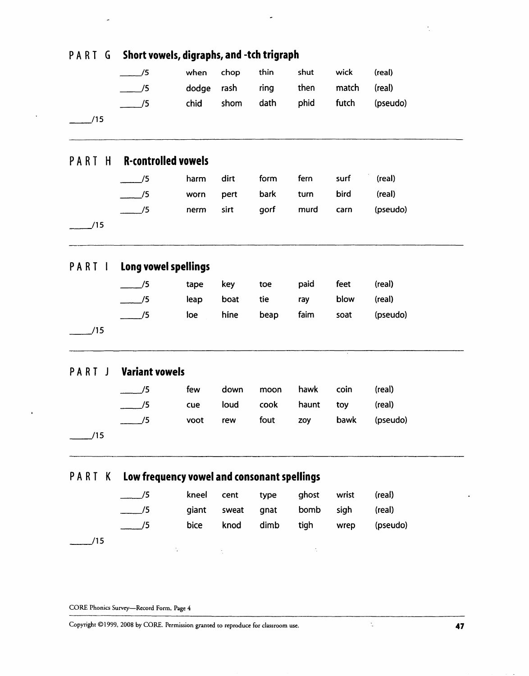| PART G    | Short vowels, digraphs, and -tch trigraph |                                             |                  |      |       |       |          |  |  |  |
|-----------|-------------------------------------------|---------------------------------------------|------------------|------|-------|-------|----------|--|--|--|
|           | $\frac{1}{5}$                             | when                                        | chop             | thin | shut  | wick  | (real)   |  |  |  |
|           | $\frac{1}{5}$                             | dodge                                       | rash             | ring | then  | match | (real)   |  |  |  |
|           | $\frac{1}{5}$                             | chid                                        | shom             | dath | phid  | futch | (pseudo) |  |  |  |
| 15        |                                           |                                             |                  |      |       |       |          |  |  |  |
| PART<br>H | <b>R-controlled vowels</b>                |                                             |                  |      |       |       |          |  |  |  |
|           | $\frac{1}{2}$ /5                          | harm                                        | dirt             | form | fern  | surf  | (real)   |  |  |  |
|           | $\frac{1}{2}$ /5                          | worn                                        | pert             | bark | turn  | bird  | (real)   |  |  |  |
|           | $\frac{1}{5}$                             | nerm                                        | sirt             | gorf | murd  | carn  | (pseudo) |  |  |  |
| /15       |                                           |                                             |                  |      |       |       |          |  |  |  |
| PART 1    | Long vowel spellings                      |                                             |                  |      |       |       |          |  |  |  |
|           | /5                                        | tape                                        | key              | toe  | paid  | feet  | (real)   |  |  |  |
|           | /5                                        | leap                                        | boat             | tie  | ray   | blow  | (real)   |  |  |  |
|           | /5                                        | loe                                         | hine             | beap | faim  | soat  | (pseudo) |  |  |  |
| /15       |                                           |                                             |                  |      |       |       |          |  |  |  |
| PART<br>J | <b>Variant vowels</b>                     |                                             |                  |      |       |       |          |  |  |  |
|           | /5                                        | few                                         | down             | moon | hawk  | coin  | (real)   |  |  |  |
|           | $\frac{1}{2}$ /5                          | cue                                         | loud             | cook | haunt | toy   | (real)   |  |  |  |
|           | $\frac{1}{5}$                             | voot                                        | rew              | fout | zoy   | bawk  | (pseudo) |  |  |  |
| /15       |                                           |                                             |                  |      |       |       |          |  |  |  |
| PART K    |                                           | Low frequency vowel and consonant spellings |                  |      |       |       |          |  |  |  |
|           | /5                                        | kneel                                       | cent             | type | ghost | wrist | (real)   |  |  |  |
|           | $\overline{15}$                           | giant                                       | sweat            | gnat | bomb  | sigh  | (real)   |  |  |  |
|           | $\overline{15}$                           | bice                                        | knod             | dimb | tigh  | wrep  | (pseudo) |  |  |  |
| /15       |                                           |                                             |                  |      |       |       |          |  |  |  |
|           |                                           |                                             | $\gamma_{\rm c}$ |      |       |       |          |  |  |  |
|           |                                           |                                             |                  |      |       |       |          |  |  |  |
|           |                                           |                                             |                  |      |       |       |          |  |  |  |

÷,

Copyright ©1999, 2008 by CORE. Permission granted to reproduce for classroom use. " 47

CORE Phonics Survey--Record Form, Page 4

 $\ddot{\phantom{0}}$ 

 $\frac{1}{\sqrt{2}}$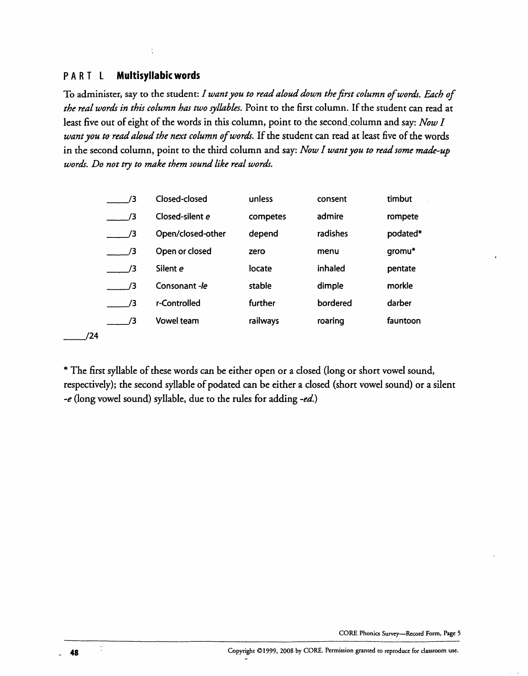### **PA R T L Multisyllabicwords**

To administer, say to the student: *I want you to read aloud down the first column of words. Each of the real words in this column has two syllables.* Point to the first column. If the student can read at least five out of eight of the words in this column, point to the second column and say: *Now I want you to read aloud the next column of words*. If the student can read at least five of the words in the second column, point to the third column and say: *Now I want you to read some made-up words. Do not try to make them sound like real words.*

| 73             | Closed-closed     | unless   | consent  | timbut   |
|----------------|-------------------|----------|----------|----------|
| 73             | Closed-silent e   | competes | admire   | rompete  |
| 73             | Open/closed-other | depend   | radishes | podated* |
| /3             | Open or closed    | zero     | menu     | gromu*   |
| $\overline{3}$ | Silent e          | locate   | inhaled  | pentate  |
| /3             | Consonant -le     | stable   | dimple   | morkle   |
| /3             | r-Controlled      | further  | bordered | darber   |
| /3             | <b>Vowel team</b> | railways | roaring  | fauntoon |
|                |                   |          |          |          |

\* The first syllable of these words can be either open or a closed (long or short vowel sound, respectively); the second syllable of podated can be either a closed (short vowel sound) or a silent -e (long vowel sound) syllable, due to the rules for adding *-ed.)*

~/24

 $/24$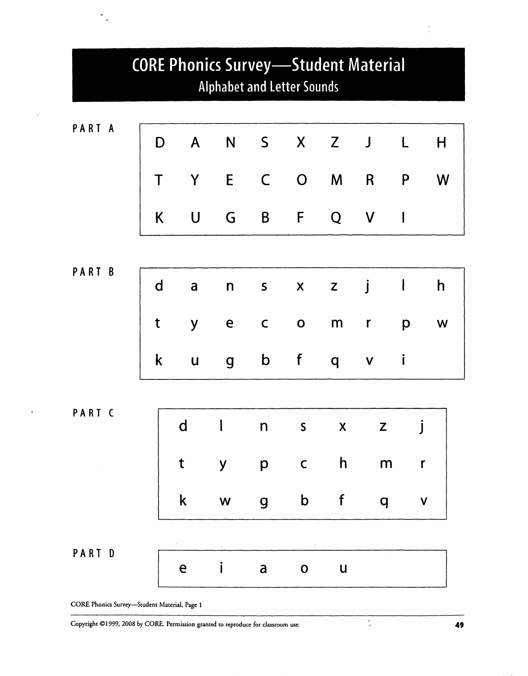

CORE Phonics Survey-Student Material, Page 1

.

 $\sim$ 

Copyright ©1999, 2008 by CORE. Permission granted to reproduce for classroom use. 49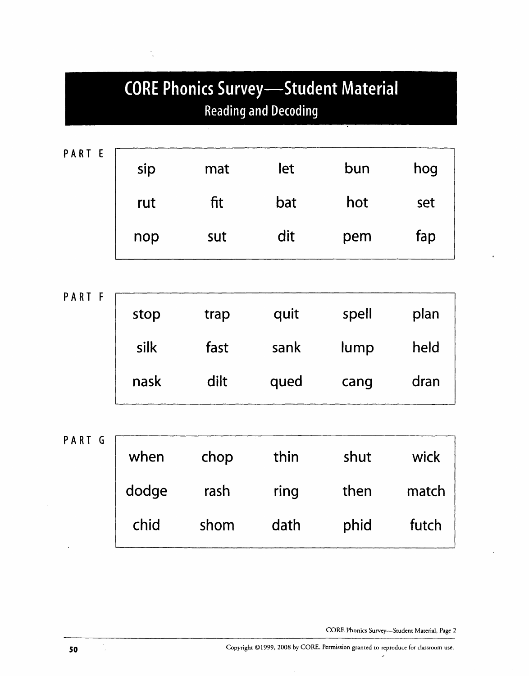# **CORE Phonics Survey-Student Material** Reading and Decoding

| sip | mat | let | bun | hog |
|-----|-----|-----|-----|-----|
| rut | fit | bat | hot | set |
| nop | sut | dit | pem | fap |

PART F stop trap quit spell plan silk fast sank lump held nask dilt qued cang dran

PART G when chop thin shut wick dodge rash ring then match chid shom dath phid futch

CORE Phonics Survey--Student Material, Page 2

 $\frac{1}{2}$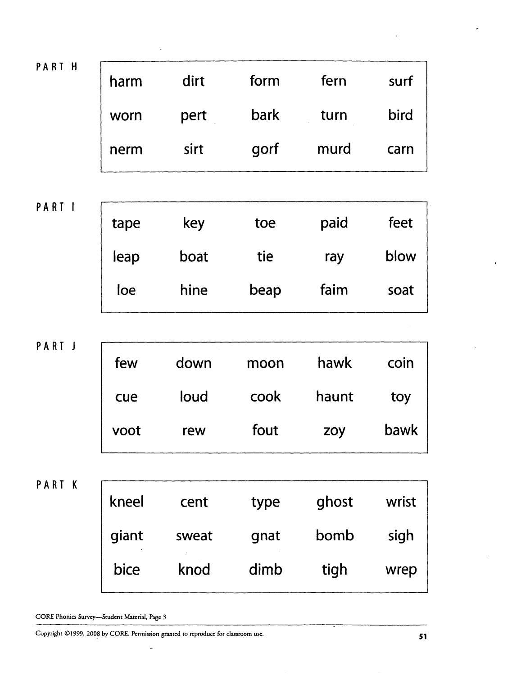| PART H | harm | dirt | form | fern | surf |
|--------|------|------|------|------|------|
|        | worn | pert | bark | turn | bird |
|        | nerm | sirt | gorf | murd | carn |

PA RT I

| tape | key  | toe  | paid | feet |
|------|------|------|------|------|
| leap | boat | tie  | ray  | blow |
| loe  | hine | beap | faim | soat |

PART J

| few  | down | moon | hawk  | coin |
|------|------|------|-------|------|
| cue  | loud | cook | haunt | toy  |
| voot | rew  | fout | zoy   | bawk |

PART K

| kneel | cent  | type | ghost | wrist |
|-------|-------|------|-------|-------|
| giant | sweat | gnat | bomb  | sigh  |
| bice  | knod  | dimb | tigh  | wrep  |

CORE Phonics Survey--Student Material, Page 3

Copyright ©1999, 2008 by CORE. Permission granted to reproduce for classroom use. $\downarrow$ 

 $\overline{a}$